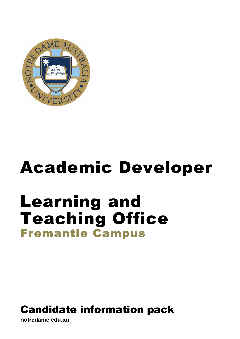

# Academic Developer

## Learning and Teaching Office Fremantle Campus

## Candidate information pack

**notredame.edu.au**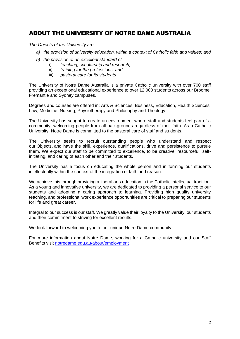## ABOUT THE UNIVERSITY OF NOTRE DAME AUSTRALIA

*The Objects of the University are:*

- *a) the provision of university education, within a context of Catholic faith and values; and*
- *b) the provision of an excellent standard of –*
	- *i) teaching, scholarship and research;*
	- *ii) training for the professions; and*
	- *iii) pastoral care for its students.*

The University of Notre Dame Australia is a private Catholic university with over 700 staff providing an exceptional educational experience to over 12,000 students across our Broome, Fremantle and Sydney campuses.

Degrees and courses are offered in: Arts & Sciences, Business, Education, Health Sciences, Law, Medicine, Nursing, Physiotherapy and Philosophy and Theology.

The University has sought to create an environment where staff and students feel part of a community, welcoming people from all backgrounds regardless of their faith. As a Catholic University, Notre Dame is committed to the pastoral care of staff and students.

The University seeks to recruit outstanding people who understand and respect our Objects, and have the skill, experience, qualifications, drive and persistence to pursue them. We expect our staff to be committed to excellence, to be creative, resourceful, selfinitiating, and caring of each other and their students.

The University has a focus on educating the whole person and in forming our students intellectually within the context of the integration of faith and reason.

We achieve this through providing a liberal arts education in the Catholic intellectual tradition. As a young and innovative university, we are dedicated to providing a personal service to our students and adopting a caring approach to learning. Providing high quality university teaching, and professional work experience opportunities are critical to preparing our students for life and great career.

Integral to our success is our staff. We greatly value their loyalty to the University, our students and their commitment to striving for excellent results.

We look forward to welcoming you to our unique Notre Dame community.

For more information about Notre Dame, working for a Catholic university and our Staff Benefits visit [notredame.edu.au/about/employment](https://www.notredame.edu.au/about/employment)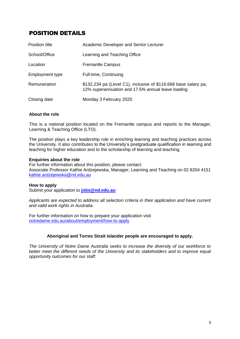## POSITION DETAILS

| Position title  | Academic Developer and Senior Lecturer                                                                               |
|-----------------|----------------------------------------------------------------------------------------------------------------------|
| School/Office   | Learning and Teaching Office                                                                                         |
| Location        | <b>Fremantle Campus</b>                                                                                              |
| Employment type | Full-time, Continuing                                                                                                |
| Remuneration    | \$132,234 pa (Level C1), inclusive of \$116,668 base salary pa,<br>12% superannuation and 17.5% annual leave loading |
| Closing date    | Monday 3 February 2020                                                                                               |

#### **About the role**

This is a national position located on the Fremantle campus and reports to the Manager, Learning & Teaching Office (LTO).

The position plays a key leadership role in enriching learning and teaching practices across the University. It also contributes to the University's postgraduate qualification in learning and teaching for higher education and to the scholarship of learning and teaching.

#### **Enquiries about the role**

For further information about this position, please contact: Associate Professor Kathie Ardzejewska, Manager, Learning and Teaching on 02 8204 4151 [kathie.ardzejewska@nd.edu.au](mailto:kathie.ardzejewska@nd.edu.au)

#### **How to apply**

Submit your application to **[jobs@nd.edu.au](mailto:jobs@nd.edu.au)**

*Applicants are expected to address all selection criteria in their application and have current and valid work rights in Australia.* 

For further information on how to prepare your application visit [notredame.edu.au/about/employment/how-to-apply](https://www.notredame.edu.au/about/employment/how-to-apply)

#### **Aboriginal and Torres Strait Islander people are encouraged to apply.**

*The University of Notre Dame Australia seeks to increase the diversity of our workforce to better meet the different needs of the University and its stakeholders and to improve equal opportunity outcomes for our staff.*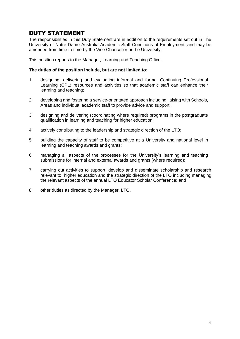### DUTY STATEMENT

The responsibilities in this Duty Statement are in addition to the requirements set out in The University of Notre Dame Australia Academic Staff Conditions of Employment, and may be amended from time to time by the Vice Chancellor or the University.

This position reports to the Manager, Learning and Teaching Office.

#### **The duties of the position include, but are not limited to**:

- 1. designing, delivering and evaluating informal and formal Continuing Professional Learning (CPL) resources and activities so that academic staff can enhance their learning and teaching;
- 2. developing and fostering a service-orientated approach including liaising with Schools, Areas and individual academic staff to provide advice and support;
- 3. designing and delivering (coordinating where required) programs in the postgraduate qualification in learning and teaching for higher education;
- 4. actively contributing to the leadership and strategic direction of the LTO;
- 5. building the capacity of staff to be competitive at a University and national level in learning and teaching awards and grants;
- 6. managing all aspects of the processes for the University's learning and teaching submissions for internal and external awards and grants (where required);
- 7. carrying out activities to support, develop and disseminate scholarship and research relevant to higher education and the strategic direction of the LTO including managing the relevant aspects of the annual LTO Educator Scholar Conference; and
- 8. other duties as directed by the Manager, LTO.